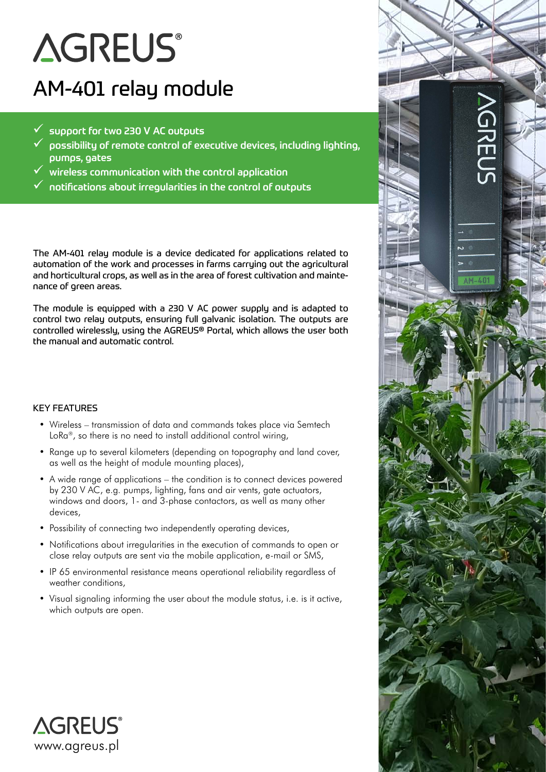# **AGREUS®**

# AM-401 relay module

- 9 support for two 230 V AC outputs
- $\checkmark$  possibility of remote control of executive devices, including lighting, pumps, gates
- 9 wireless communication with the control application
- $\checkmark$  notifications about irregularities in the control of outputs

The AM-401 relay module is a device dedicated for applications related to automation of the work and processes in farms carrying out the agricultural and horticultural crops, as well as in the area of forest cultivation and maintenance of green areas.

The module is equipped with a 230 V AC power supply and is adapted to control two relay outputs, ensuring full galvanic isolation. The outputs are controlled wirelessly, using the AGREUS® Portal, which allows the user both the manual and automatic control.

### KEY FEATURES

- Wireless transmission of data and commands takes place via Semtech LoRa®, so there is no need to install additional control wiring,
- Range up to several kilometers (depending on topography and land cover, as well as the height of module mounting places),
- A wide range of applications the condition is to connect devices powered by 230 V AC, e.g. pumps, lighting, fans and air vents, gate actuators, windows and doors, 1- and 3-phase contactors, as well as many other devices,
- Possibility of connecting two independently operating devices,
- Notifications about irregularities in the execution of commands to open or close relay outputs are sent via the mobile application, e-mail or SMS,
- IP 65 environmental resistance means operational reliability regardless of weather conditions,
- Visual signaling informing the user about the module status, i.e. is it active, which outputs are open.